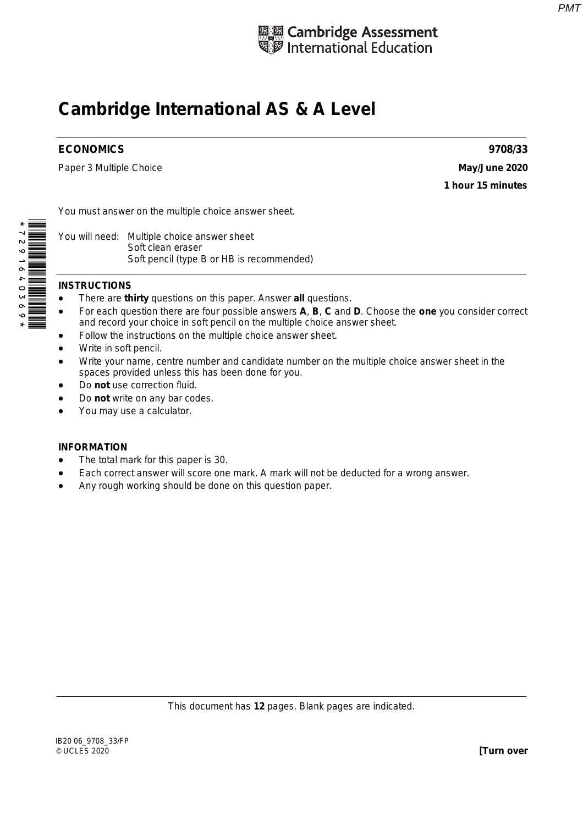

## **Cambridge International AS & A Level**

## **ECONOMICS 9708/33**

Paper 3 Multiple Choice **May/June 2020** 

**1 hour 15 minutes** 

You must answer on the multiple choice answer sheet.

You will need: Multiple choice answer sheet Soft clean eraser Soft pencil (type B or HB is recommended)

## **INSTRUCTIONS**

- There are **thirty** questions on this paper. Answer **all** questions.
- For each question there are four possible answers **A**, **B**, **C** and **D**. Choose the **one** you consider correct and record your choice in soft pencil on the multiple choice answer sheet.
- Follow the instructions on the multiple choice answer sheet.
- Write in soft pencil.
- Write your name, centre number and candidate number on the multiple choice answer sheet in the spaces provided unless this has been done for you.
- Do **not** use correction fluid.
- Do **not** write on any bar codes.
- You may use a calculator.

## **INFORMATION**

- The total mark for this paper is 30.
- Each correct answer will score one mark. A mark will not be deducted for a wrong answer.
- Any rough working should be done on this question paper.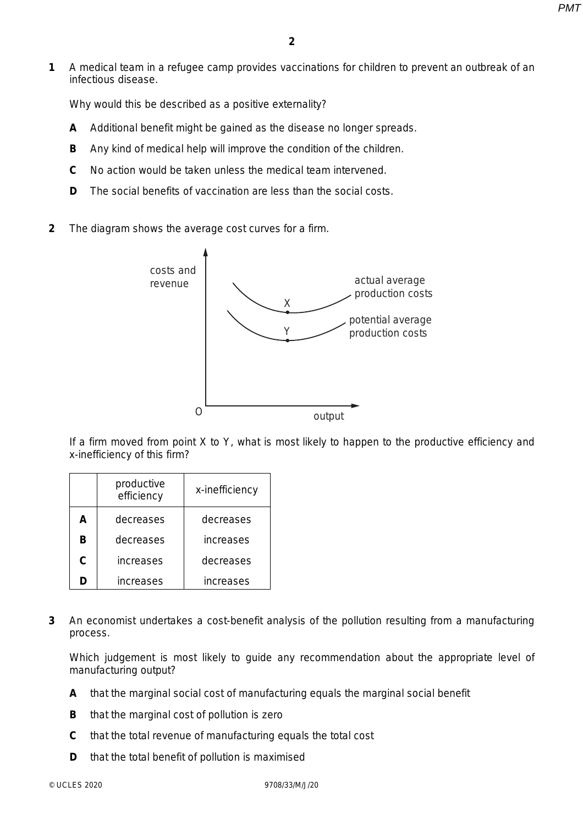**1** A medical team in a refugee camp provides vaccinations for children to prevent an outbreak of an infectious disease.

Why would this be described as a positive externality?

- **A** Additional benefit might be gained as the disease no longer spreads.
- **B** Any kind of medical help will improve the condition of the children.
- **C** No action would be taken unless the medical team intervened.
- **D** The social benefits of vaccination are less than the social costs.
- **2** The diagram shows the average cost curves for a firm.



If a firm moved from point X to Y, what is most likely to happen to the productive efficiency and x-inefficiency of this firm?

|    | productive<br>efficiency | x-inefficiency   |
|----|--------------------------|------------------|
| A  | decreases                | decreases        |
| R  | decreases                | increases        |
| C. | increases                | decreases        |
| n  | increases                | <b>increases</b> |

**3** An economist undertakes a cost-benefit analysis of the pollution resulting from a manufacturing process.

Which judgement is most likely to guide any recommendation about the appropriate level of manufacturing output?

- **A** that the marginal social cost of manufacturing equals the marginal social benefit
- **B** that the marginal cost of pollution is zero
- **C** that the total revenue of manufacturing equals the total cost
- **D** that the total benefit of pollution is maximised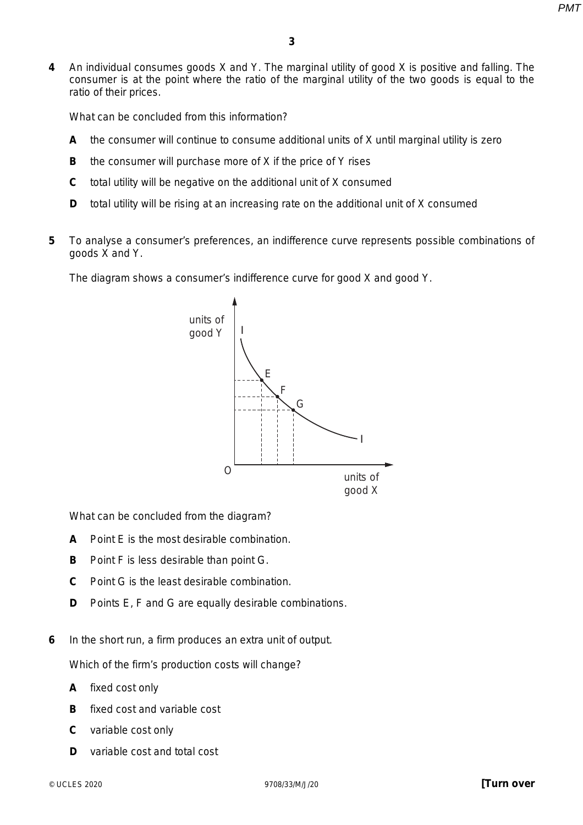**4** An individual consumes goods X and Y. The marginal utility of good X is positive and falling. The consumer is at the point where the ratio of the marginal utility of the two goods is equal to the ratio of their prices.

What can be concluded from this information?

- **A** the consumer will continue to consume additional units of X until marginal utility is zero
- **B** the consumer will purchase more of X if the price of Y rises
- **C** total utility will be negative on the additional unit of X consumed
- **D** total utility will be rising at an increasing rate on the additional unit of X consumed
- **5** To analyse a consumer's preferences, an indifference curve represents possible combinations of goods X and Y.

The diagram shows a consumer's indifference curve for good X and good Y.



What can be concluded from the diagram?

- **A** Point E is the most desirable combination.
- **B** Point F is less desirable than point G.
- **C** Point G is the least desirable combination.
- **D** Points E, F and G are equally desirable combinations.
- **6** In the short run, a firm produces an extra unit of output.

Which of the firm's production costs will change?

- **A** fixed cost only
- **B** fixed cost and variable cost
- **C** variable cost only
- **D** variable cost and total cost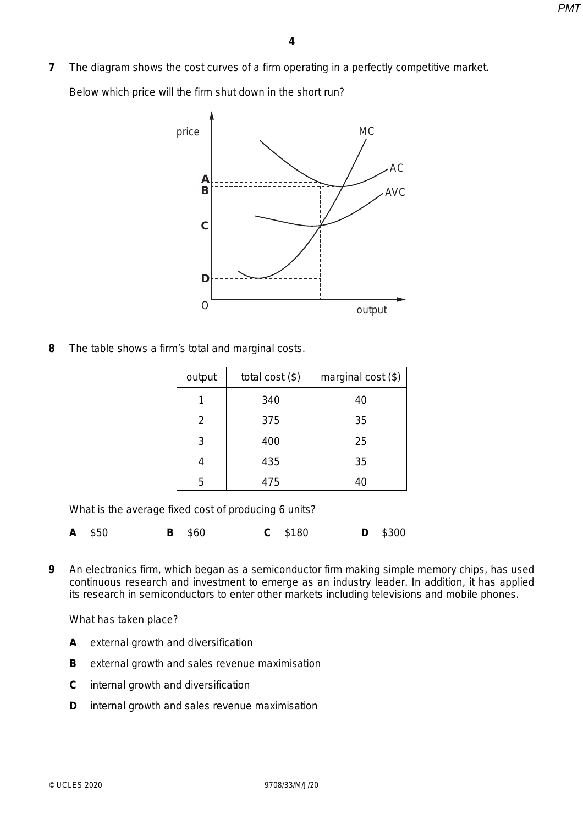**7** The diagram shows the cost curves of a firm operating in a perfectly competitive market.

Below which price will the firm shut down in the short run?



**8** The table shows a firm's total and marginal costs.

| output | total cost $(\$)$ | marginal cost $(\$)$ |
|--------|-------------------|----------------------|
|        | 340               | 40                   |
| 2      | 375               | 35                   |
| 3      | 400               | 25                   |
|        | 435               | 35                   |
| 5      | 475               | 40                   |

What is the average fixed cost of producing 6 units?

|  | A \$50 |  | <b>B</b> \$60 |  | $C$ \$180 |  | <b>D</b> \$300 |
|--|--------|--|---------------|--|-----------|--|----------------|
|--|--------|--|---------------|--|-----------|--|----------------|

**9** An electronics firm, which began as a semiconductor firm making simple memory chips, has used continuous research and investment to emerge as an industry leader. In addition, it has applied its research in semiconductors to enter other markets including televisions and mobile phones.

What has taken place?

- **A** external growth and diversification
- **B** external growth and sales revenue maximisation
- **C** internal growth and diversification
- **D** internal growth and sales revenue maximisation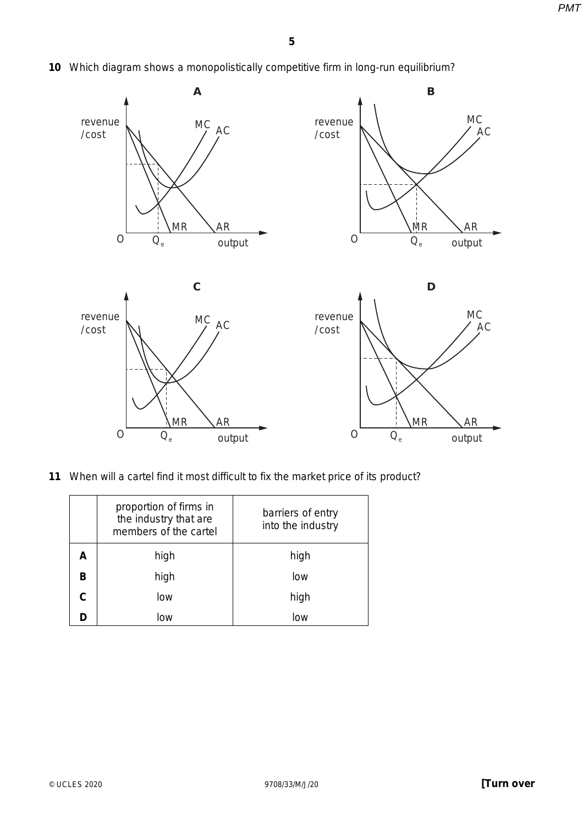**10** Which diagram shows a monopolistically competitive firm in long-run equilibrium?



**11** When will a cartel find it most difficult to fix the market price of its product?

|    | proportion of firms in<br>the industry that are<br>members of the cartel | barriers of entry<br>into the industry |
|----|--------------------------------------------------------------------------|----------------------------------------|
|    | high                                                                     | high                                   |
| в  | high                                                                     | low                                    |
| C. | low                                                                      | high                                   |
|    | low                                                                      | low                                    |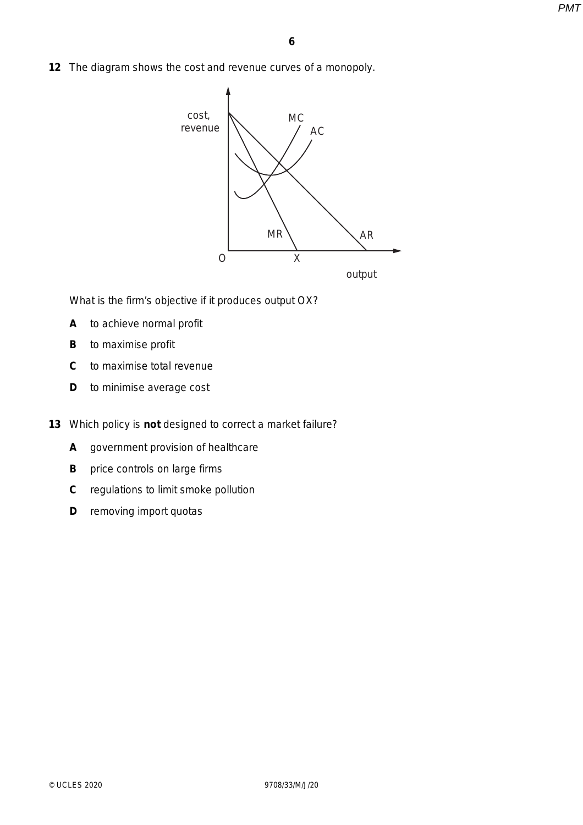**12** The diagram shows the cost and revenue curves of a monopoly.



What is the firm's objective if it produces output OX?

- **A** to achieve normal profit
- **B** to maximise profit
- **C** to maximise total revenue
- **D** to minimise average cost
- **13** Which policy is **not** designed to correct a market failure?
	- **A** government provision of healthcare
	- **B** price controls on large firms
	- **C** regulations to limit smoke pollution
	- **D** removing import quotas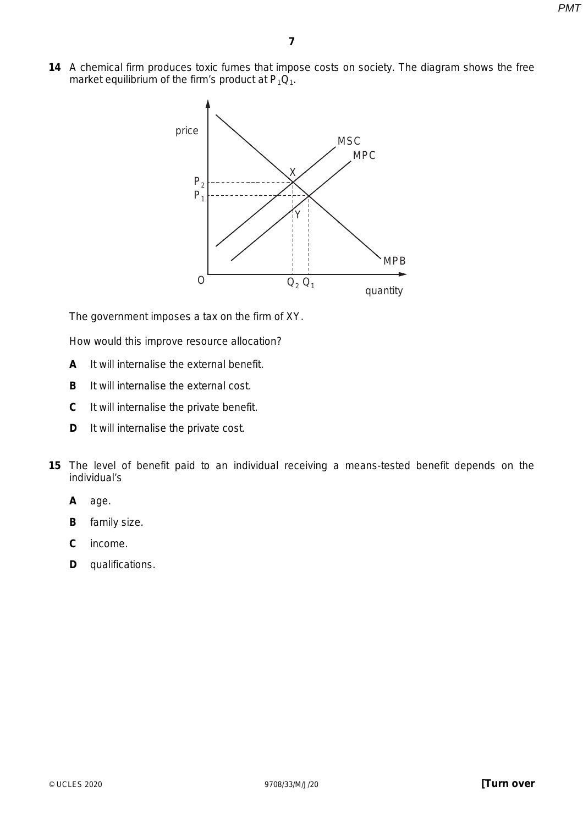**14** A chemical firm produces toxic fumes that impose costs on society. The diagram shows the free market equilibrium of the firm's product at  $P_1Q_1$ .



The government imposes a tax on the firm of XY.

How would this improve resource allocation?

- **A** It will internalise the external benefit.
- **B** It will internalise the external cost.
- **C** It will internalise the private benefit.
- **D** It will internalise the private cost.
- **15** The level of benefit paid to an individual receiving a means-tested benefit depends on the individual's
	- **A** age.
	- **B** family size.
	- **C** income.
	- **D** qualifications.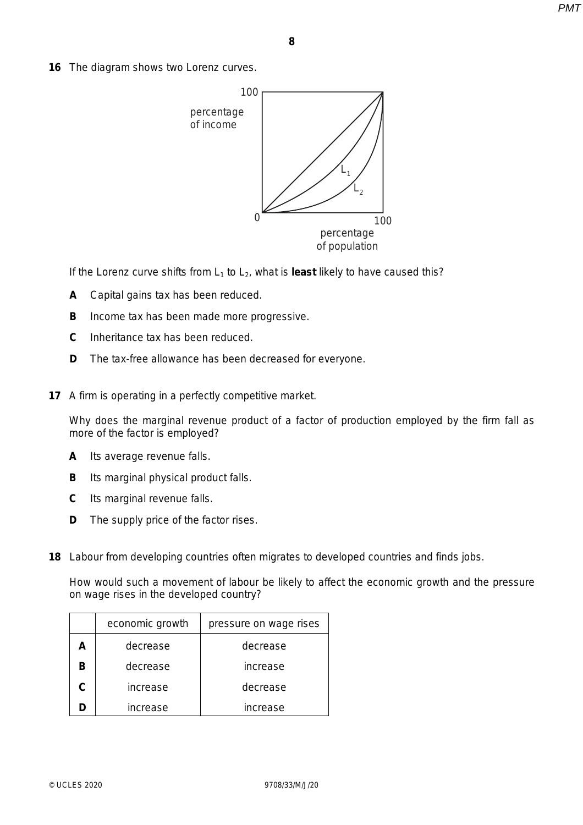**16** The diagram shows two Lorenz curves.



If the Lorenz curve shifts from  $L_1$  to  $L_2$ , what is **least** likely to have caused this?

- **A** Capital gains tax has been reduced.
- **B** Income tax has been made more progressive.
- **C** Inheritance tax has been reduced.
- **D** The tax-free allowance has been decreased for everyone.
- **17** A firm is operating in a perfectly competitive market.

Why does the marginal revenue product of a factor of production employed by the firm fall as more of the factor is employed?

- **A** Its average revenue falls.
- **B** Its marginal physical product falls.
- **C** Its marginal revenue falls.
- **D** The supply price of the factor rises.
- **18** Labour from developing countries often migrates to developed countries and finds jobs.

How would such a movement of labour be likely to affect the economic growth and the pressure on wage rises in the developed country?

| economic growth | pressure on wage rises |
|-----------------|------------------------|
| decrease        | decrease               |
| decrease        | increase               |
| increase        | decrease               |
| increase        | increase               |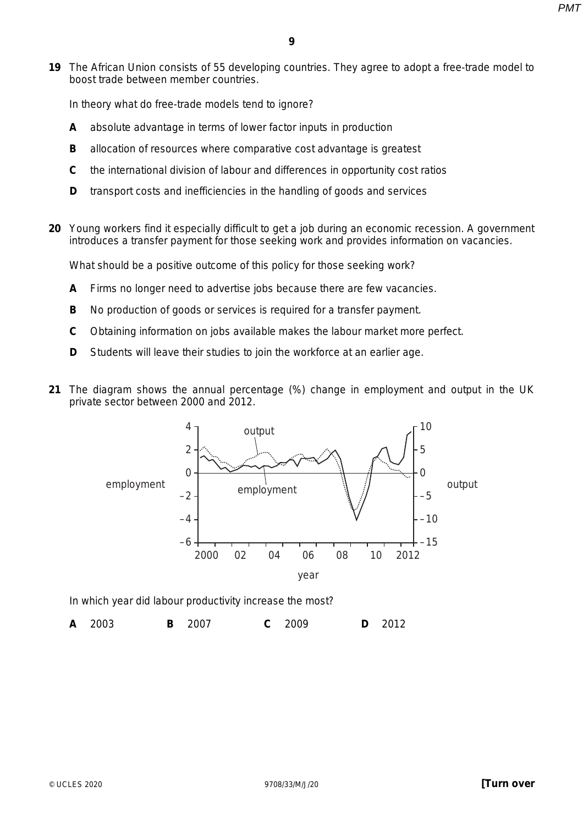**19** The African Union consists of 55 developing countries. They agree to adopt a free-trade model to boost trade between member countries.

In theory what do free-trade models tend to ignore?

- **A** absolute advantage in terms of lower factor inputs in production
- **B** allocation of resources where comparative cost advantage is greatest
- **C** the international division of labour and differences in opportunity cost ratios
- **D** transport costs and inefficiencies in the handling of goods and services
- **20** Young workers find it especially difficult to get a job during an economic recession. A government introduces a transfer payment for those seeking work and provides information on vacancies.

What should be a positive outcome of this policy for those seeking work?

- **A** Firms no longer need to advertise jobs because there are few vacancies.
- **B** No production of goods or services is required for a transfer payment.
- **C** Obtaining information on jobs available makes the labour market more perfect.
- **D** Students will leave their studies to join the workforce at an earlier age.
- **21** The diagram shows the annual percentage (%) change in employment and output in the UK private sector between 2000 and 2012.



In which year did labour productivity increase the most?

**A** 2003 **B** 2007 **C** 2009 **D** 2012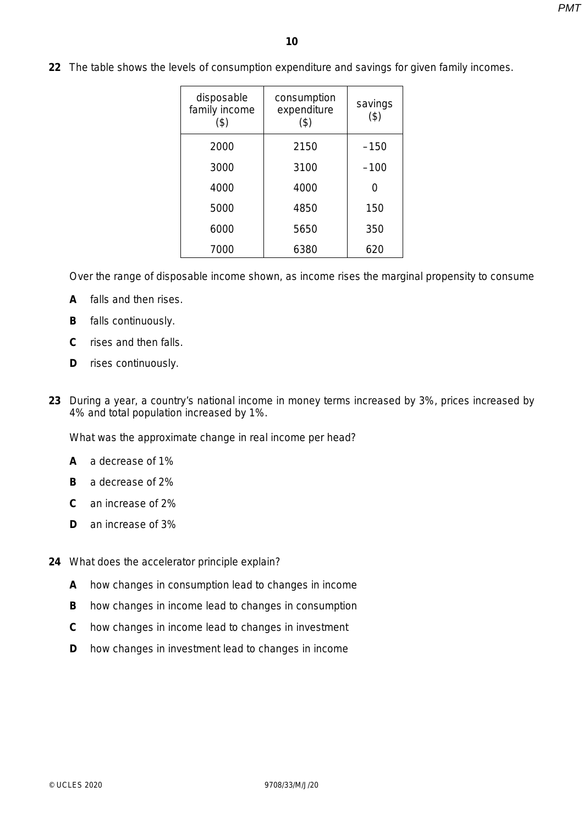**22** The table shows the levels of consumption expenditure and savings for given family incomes.

| disposable<br>family income<br>(\$) | consumption<br>expenditure<br>$($ \$) | savings<br>(3) |
|-------------------------------------|---------------------------------------|----------------|
| 2000                                | 2150                                  | $-150$         |
| 3000                                | 3100                                  | $-100$         |
| 4000                                | 4000                                  |                |
| 5000                                | 4850                                  | 150            |
| 6000                                | 5650                                  | 350            |
| 7000                                | 6380                                  | 620            |

Over the range of disposable income shown, as income rises the marginal propensity to consume

- **A** falls and then rises.
- **B** falls continuously.
- **C** rises and then falls.
- **D** rises continuously.
- **23** During a year, a country's national income in money terms increased by 3%, prices increased by 4% and total population increased by 1%.

What was the approximate change in real income per head?

- **A** a decrease of 1%
- **B** a decrease of 2%
- **C** an increase of 2%
- **D** an increase of 3%
- **24** What does the accelerator principle explain?
	- **A** how changes in consumption lead to changes in income
	- **B** how changes in income lead to changes in consumption
	- **C** how changes in income lead to changes in investment
	- **D** how changes in investment lead to changes in income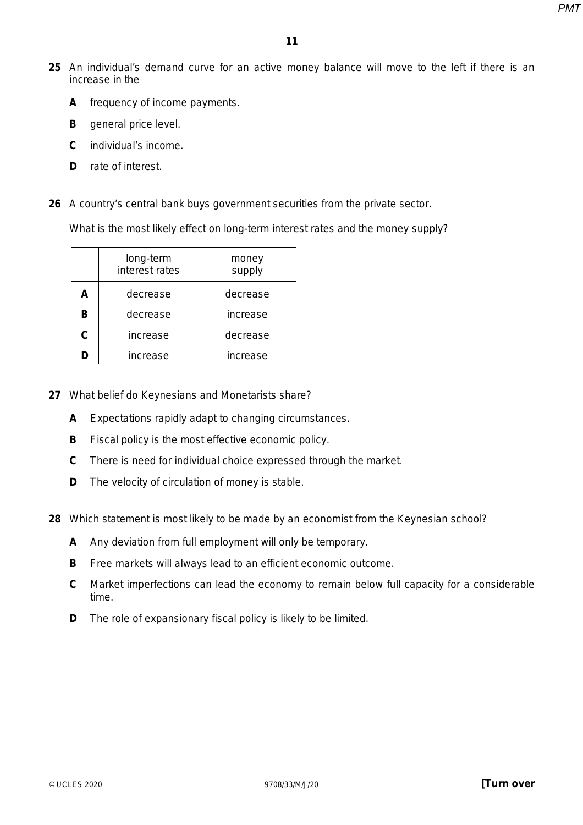- **25** An individual's demand curve for an active money balance will move to the left if there is an increase in the
	- **A** frequency of income payments.
	- **B** general price level.
	- **C** individual's income.
	- **D** rate of interest.
- **26** A country's central bank buys government securities from the private sector.

What is the most likely effect on long-term interest rates and the money supply?

|   | long-term<br>interest rates | money<br>supply |
|---|-----------------------------|-----------------|
| A | decrease                    | decrease        |
| в | decrease                    | increase        |
| C | increase                    | decrease        |
|   | increase                    | increase        |

- **27** What belief do Keynesians and Monetarists share?
	- **A** Expectations rapidly adapt to changing circumstances.
	- **B** Fiscal policy is the most effective economic policy.
	- **C** There is need for individual choice expressed through the market.
	- **D** The velocity of circulation of money is stable.
- **28** Which statement is most likely to be made by an economist from the Keynesian school?
	- **A** Any deviation from full employment will only be temporary.
	- **B** Free markets will always lead to an efficient economic outcome.
	- **C** Market imperfections can lead the economy to remain below full capacity for a considerable time.
	- **D** The role of expansionary fiscal policy is likely to be limited.